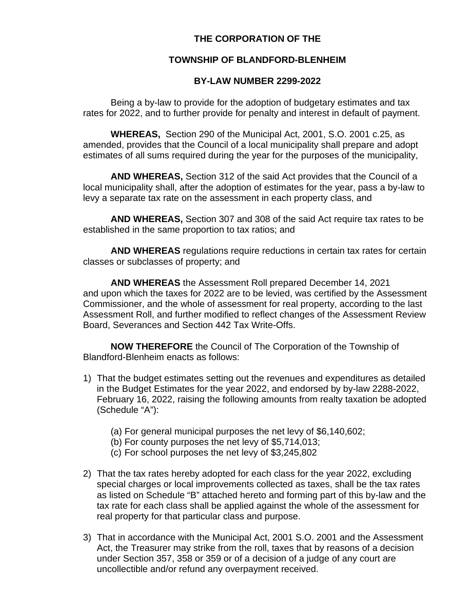## **THE CORPORATION OF THE**

## **TOWNSHIP OF BLANDFORD-BLENHEIM**

## **BY-LAW NUMBER 2299-2022**

Being a by-law to provide for the adoption of budgetary estimates and tax rates for 2022, and to further provide for penalty and interest in default of payment.

**WHEREAS,** Section 290 of the Municipal Act, 2001, S.O. 2001 c.25, as amended, provides that the Council of a local municipality shall prepare and adopt estimates of all sums required during the year for the purposes of the municipality,

**AND WHEREAS,** Section 312 of the said Act provides that the Council of a local municipality shall, after the adoption of estimates for the year, pass a by-law to levy a separate tax rate on the assessment in each property class, and

**AND WHEREAS,** Section 307 and 308 of the said Act require tax rates to be established in the same proportion to tax ratios; and

**AND WHEREAS** regulations require reductions in certain tax rates for certain classes or subclasses of property; and

**AND WHEREAS** the Assessment Roll prepared December 14, 2021 and upon which the taxes for 2022 are to be levied, was certified by the Assessment Commissioner, and the whole of assessment for real property, according to the last Assessment Roll, and further modified to reflect changes of the Assessment Review Board, Severances and Section 442 Tax Write-Offs.

**NOW THEREFORE** the Council of The Corporation of the Township of Blandford-Blenheim enacts as follows:

- 1) That the budget estimates setting out the revenues and expenditures as detailed in the Budget Estimates for the year 2022, and endorsed by by-law 2288-2022, February 16, 2022, raising the following amounts from realty taxation be adopted (Schedule "A"):
	- (a) For general municipal purposes the net levy of \$6,140,602;
	- (b) For county purposes the net levy of \$5,714,013;
	- (c) For school purposes the net levy of \$3,245,802
- 2) That the tax rates hereby adopted for each class for the year 2022, excluding special charges or local improvements collected as taxes, shall be the tax rates as listed on Schedule "B" attached hereto and forming part of this by-law and the tax rate for each class shall be applied against the whole of the assessment for real property for that particular class and purpose.
- 3) That in accordance with the Municipal Act, 2001 S.O. 2001 and the Assessment Act, the Treasurer may strike from the roll, taxes that by reasons of a decision under Section 357, 358 or 359 or of a decision of a judge of any court are uncollectible and/or refund any overpayment received.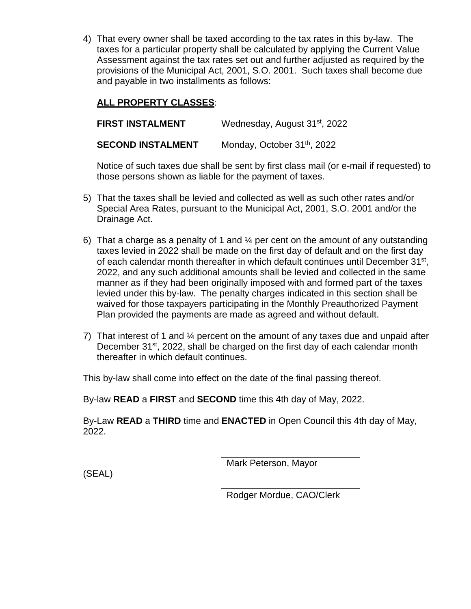4) That every owner shall be taxed according to the tax rates in this by-law. The taxes for a particular property shall be calculated by applying the Current Value Assessment against the tax rates set out and further adjusted as required by the provisions of the Municipal Act, 2001, S.O. 2001. Such taxes shall become due and payable in two installments as follows:

# **ALL PROPERTY CLASSES**:

**FIRST INSTALMENT** Wednesday, August 31<sup>st</sup>, 2022

**SECOND INSTALMENT** Monday, October 31<sup>th</sup>, 2022

Notice of such taxes due shall be sent by first class mail (or e-mail if requested) to those persons shown as liable for the payment of taxes.

- 5) That the taxes shall be levied and collected as well as such other rates and/or Special Area Rates, pursuant to the Municipal Act, 2001, S.O. 2001 and/or the Drainage Act.
- 6) That a charge as a penalty of 1 and  $\frac{1}{4}$  per cent on the amount of any outstanding taxes levied in 2022 shall be made on the first day of default and on the first day of each calendar month thereafter in which default continues until December 31st, 2022, and any such additional amounts shall be levied and collected in the same manner as if they had been originally imposed with and formed part of the taxes levied under this by-law. The penalty charges indicated in this section shall be waived for those taxpayers participating in the Monthly Preauthorized Payment Plan provided the payments are made as agreed and without default.
- 7) That interest of 1 and ¼ percent on the amount of any taxes due and unpaid after December 31<sup>st</sup>, 2022, shall be charged on the first day of each calendar month thereafter in which default continues.

This by-law shall come into effect on the date of the final passing thereof.

By-law **READ** a **FIRST** and **SECOND** time this 4th day of May, 2022.

By-Law **READ** a **THIRD** time and **ENACTED** in Open Council this 4th day of May, 2022.

Mark Peterson, Mayor

(SEAL)

Rodger Mordue, CAO/Clerk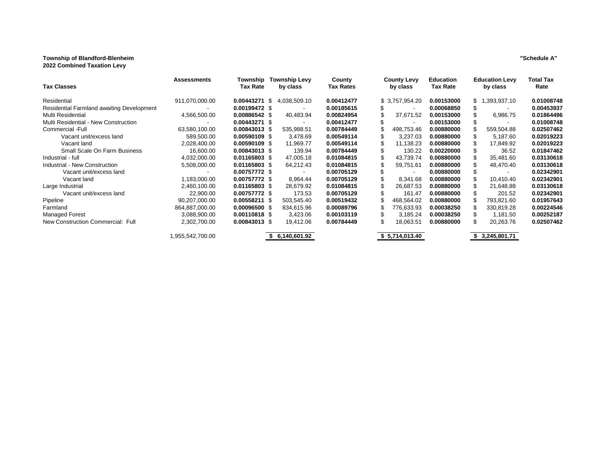#### **Township of Blandford-Blenheim "Schedule A" 2022 Combined Taxation Levy**

| <b>Tax Classes</b>                               | <b>Assessments</b> | Township<br><b>Tax Rate</b> |    | Township Levy<br>by class | County<br><b>Tax Rates</b> |   | <b>County Levy</b><br>by class | <b>Education</b><br>Tax Rate |     | <b>Education Levy</b><br>by class | <b>Total Tax</b><br>Rate |
|--------------------------------------------------|--------------------|-----------------------------|----|---------------------------|----------------------------|---|--------------------------------|------------------------------|-----|-----------------------------------|--------------------------|
| Residential                                      | 911,070,000.00     | 0.00443271                  | -S | 4,038,509.10              | 0.00412477                 |   | \$ 3,757,954.20                | 0.00153000                   | SS. | .393,937.10                       | 0.01008748               |
| <b>Residential Farmland awaiting Development</b> |                    | 0.00199472 \$               |    |                           | 0.00185615                 |   |                                | 0.00068850                   |     |                                   | 0.00453937               |
| Multi Residential                                | 4,566,500.00       | 0.00886542 \$               |    | 40,483.94                 | 0.00824954                 |   | 37,671.52                      | 0.00153000                   |     | 6,986.75                          | 0.01864496               |
| Multi Residential - New Construction             |                    | $0.00443271$ \$             |    |                           | 0.00412477                 |   |                                | 0.00153000                   |     |                                   | 0.01008748               |
| Commercial - Full                                | 63,580,100.00      | 0.00843013 \$               |    | 535,988.51                | 0.00784449                 |   | 498,753.46                     | 0.00880000                   |     | 559,504.88                        | 0.02507462               |
| Vacant unit/excess land                          | 589,500.00         | $0.00590109$ \$             |    | 3,478.69                  | 0.00549114                 |   | 3,237.03                       | 0.00880000                   |     | 5,187.60                          | 0.02019223               |
| Vacant land                                      | 2,028,400.00       | $0.00590109$ \$             |    | 11,969.77                 | 0.00549114                 |   | 11,138.23                      | 0.00880000                   |     | 17,849.92                         | 0.02019223               |
| Small Scale On Farm Business                     | 16,600.00          | 0.00843013 \$               |    | 139.94                    | 0.00784449                 |   | 130.22                         | 0.00220000                   |     | 36.52                             | 0.01847462               |
| Industrial - full                                | 4,032,000.00       | 0.01165803 \$               |    | 47,005.18                 | 0.01084815                 |   | 43,739.74                      | 0.00880000                   |     | 35,481.60                         | 0.03130618               |
| Industrial - New Construction                    | 5,508,000.00       | 0.01165803 \$               |    | 64,212.43                 | 0.01084815                 |   | 59,751.61                      | 0.00880000                   |     | 48,470.40                         | 0.03130618               |
| Vacant unit/excess land                          |                    | 0.00757772 \$               |    |                           | 0.00705129                 |   |                                | 0.00880000                   |     |                                   | 0.02342901               |
| Vacant land                                      | 1,183,000.00       | 0.00757772 \$               |    | 8,964.44                  | 0.00705129                 |   | 8,341.68                       | 0.00880000                   |     | 10,410.40                         | 0.02342901               |
| Large Industrial                                 | 2,460,100.00       | 0.01165803 \$               |    | 28,679.92                 | 0.01084815                 |   | 26,687.53                      | 0.00880000                   |     | 21,648.88                         | 0.03130618               |
| Vacant unit/excess land                          | 22.900.00          | 0.00757772 \$               |    | 173.53                    | 0.00705129                 |   | 161.47                         | 0.00880000                   |     | 201.52                            | 0.02342901               |
| Pipeline                                         | 90,207,000.00      | $0.00558211$ \$             |    | 503,545.40                | 0.00519432                 |   | 468,564.02                     | 0.00880000                   |     | 793,821.60                        | 0.01957643               |
| Farmland                                         | 864,887,000.00     | $0.00096500$ \$             |    | 834,615.96                | 0.00089796                 |   | 776,633.93                     | 0.00038250                   |     | 330,819.28                        | 0.00224546               |
| Managed Forest                                   | 3,088,900.00       | 0.00110818 \$               |    | 3,423.06                  | 0.00103119                 |   | 3,185.24                       | 0.00038250                   |     | 1,181.50                          | 0.00252187               |
| New Construction Commercial: Full                | 2,302,700.00       | 0.00843013 \$               |    | 19,412.06                 | 0.00784449                 | S | 18,063.51                      | 0.00880000                   | S   | 20,263.76                         | 0.02507462               |
|                                                  | .955,542,700.00    |                             |    | 6,140,601.92              |                            |   | \$5,714,013.40                 |                              |     | 3,245,801.71                      |                          |